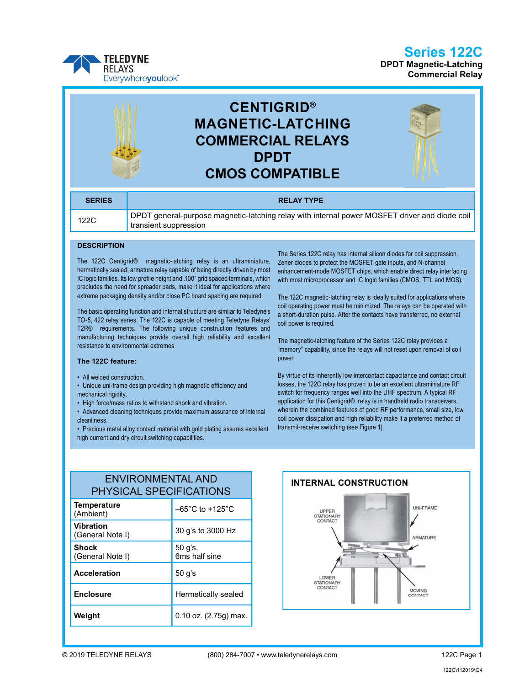## Series 122C





# CENTIGRID® MAGNETIC-LATCHING COMMERCIAL RELAYS DPDT CMOS COMPATIBLE



| <b>SERIES</b> | <b>RELAY TYPE</b>                                                                                                      |
|---------------|------------------------------------------------------------------------------------------------------------------------|
| 122C          | DPDT general-purpose magnetic-latching relay with internal power MOSFET driver and diode coil<br>transient suppression |

#### **DESCRIPTION**

The 122C Centigrid® magnetic-latching relay is an ultraminiature, hermetically sealed, armature relay capable of being directly driven by most IC logic families. Its low profile height and .100" grid spaced terminals, which precludes the need for spreader pads, make it ideal for applications where extreme packaging density and/or close PC board spacing are required.

The basic operating function and internal structure are similar to Teledyne's TO-5, 422 relay series. The 122C is capable of meeting Teledyne Relays' T2R® requirements. The following unique construction features and manufacturing techniques provide overall high reliability and excellent resistance to environmental extremes

#### The 122C feature:

- All welded construction.
- Unique uni-frame design providing high magnetic efficiency and mechanical rigidity.
- High force/mass ratios to withstand shock and vibration.
- Advanced cleaning techniques provide maximum assurance of internal cleanliness.
- Precious metal alloy contact material with gold plating assures excellent high current and dry circuit switching capabilities.

The Series 122C relay has internal silicon diodes for coil suppression, Zener diodes to protect the MOSFET gate inputs, and N-channel enhancement-mode MOSFET chips, which enable direct relay interfacing with most microprocessor and IC logic families (CMOS, TTL and MOS).

The 122C magnetic-latching relay is ideally suited for applications where coil operating power must be minimized. The relays can be operated with a short-duration pulse. After the contacts have transferred, no external coil power is required.

The magnetic-latching feature of the Series 122C relay provides a "memory" capability, since the relays will not reset upon removal of coil power.

By virtue of its inherently low intercontact capacitance and contact circuit losses, the 122C relay has proven to be an excellent ultraminiature RF switch for frequency ranges well into the UHF spectrum. A typical RF application for this Centigrid® relay is in handheld radio transceivers, wherein the combined features of good RF performance, small size, low coil power dissipation and high reliability make it a preferred method of transmit-receive switching (see Figure 1).

| <b>ENVIRONMENTAL AND</b><br><b>PHYSICAL SPECIFICATIONS</b> |                                     |  | <b>INTERN</b>   |
|------------------------------------------------------------|-------------------------------------|--|-----------------|
| <b>Temperature</b><br>(Ambient)                            | $-65^{\circ}$ C to $+125^{\circ}$ C |  | L<br>STA        |
| <b>Vibration</b><br>(General Note I)                       | 30 g's to 3000 Hz                   |  | C <sub>C</sub>  |
| <b>Shock</b><br>(General Note I)                           | 50 g's,<br>6ms half sine            |  |                 |
| <b>Acceleration</b>                                        | $50$ g's                            |  | L<br><b>STA</b> |
| <b>Enclosure</b>                                           | Hermetically sealed                 |  | CC              |
| Weight                                                     | $0.10$ oz. $(2.75g)$ max.           |  |                 |



### Weight

**MOVING**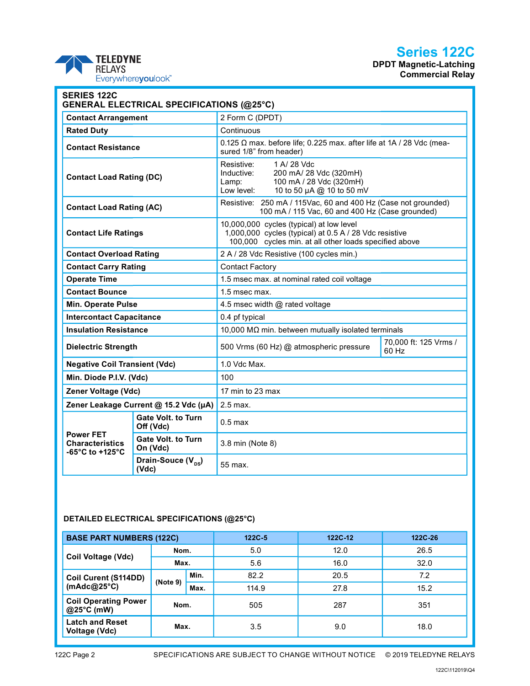## Series 122C

DPDT Magnetic-Latching Commercial Relay



| <b>SERIES 122C</b><br><b>GENERAL ELECTRICAL SPECIFICATIONS (@25°C)</b>              |                                        |                                                                                                                                                              |                                |  |
|-------------------------------------------------------------------------------------|----------------------------------------|--------------------------------------------------------------------------------------------------------------------------------------------------------------|--------------------------------|--|
| <b>Contact Arrangement</b>                                                          |                                        | 2 Form C (DPDT)                                                                                                                                              |                                |  |
| <b>Rated Duty</b>                                                                   |                                        | Continuous                                                                                                                                                   |                                |  |
| <b>Contact Resistance</b>                                                           |                                        | $0.125$ $\Omega$ max. before life; 0.225 max. after life at 1A / 28 Vdc (mea-<br>sured 1/8" from header)                                                     |                                |  |
| <b>Contact Load Rating (DC)</b>                                                     |                                        | Resistive:<br>1 A/ 28 Vdc<br>200 mA/ 28 Vdc (320mH)<br>Inductive:<br>100 mA / 28 Vdc (320mH)<br>Lamp:<br>10 to 50 µA @ 10 to 50 mV<br>Low level:             |                                |  |
| <b>Contact Load Rating (AC)</b>                                                     |                                        | Resistive: 250 mA / 115Vac, 60 and 400 Hz (Case not grounded)<br>100 mA / 115 Vac, 60 and 400 Hz (Case grounded)                                             |                                |  |
| <b>Contact Life Ratings</b>                                                         |                                        | 10,000,000 cycles (typical) at low level<br>1,000,000 cycles (typical) at 0.5 A / 28 Vdc resistive<br>100,000 cycles min. at all other loads specified above |                                |  |
| <b>Contact Overload Rating</b>                                                      |                                        | 2 A / 28 Vdc Resistive (100 cycles min.)                                                                                                                     |                                |  |
| <b>Contact Carry Rating</b>                                                         |                                        | <b>Contact Factory</b>                                                                                                                                       |                                |  |
| <b>Operate Time</b>                                                                 |                                        | 1.5 msec max. at nominal rated coil voltage                                                                                                                  |                                |  |
| <b>Contact Bounce</b>                                                               |                                        | 1.5 msec max.                                                                                                                                                |                                |  |
| Min. Operate Pulse                                                                  |                                        | 4.5 msec width @ rated voltage                                                                                                                               |                                |  |
| <b>Intercontact Capacitance</b>                                                     |                                        | 0.4 pf typical                                                                                                                                               |                                |  |
| <b>Insulation Resistance</b>                                                        |                                        | 10,000 M $\Omega$ min. between mutually isolated terminals                                                                                                   |                                |  |
| <b>Dielectric Strength</b>                                                          |                                        | 500 Vrms (60 Hz) @ atmospheric pressure                                                                                                                      | 70,000 ft: 125 Vrms /<br>60 Hz |  |
| <b>Negative Coil Transient (Vdc)</b>                                                |                                        | 1.0 Vdc Max.                                                                                                                                                 |                                |  |
| Min. Diode P.I.V. (Vdc)                                                             |                                        | 100                                                                                                                                                          |                                |  |
| Zener Voltage (Vdc)                                                                 |                                        | 17 min to 23 max                                                                                                                                             |                                |  |
| Zener Leakage Current @ 15.2 Vdc (µA)                                               |                                        | 2.5 max.                                                                                                                                                     |                                |  |
|                                                                                     | <b>Gate Volt. to Turn</b><br>Off (Vdc) | $0.5$ max                                                                                                                                                    |                                |  |
| <b>Power FET</b><br><b>Characteristics</b><br>-65 $^{\circ}$ C to +125 $^{\circ}$ C | <b>Gate Volt. to Turn</b><br>On (Vdc)  | 3.8 min (Note 8)                                                                                                                                             |                                |  |
|                                                                                     | Drain-Souce $(V_{\text{ns}})$<br>(Vdc) | 55 max.                                                                                                                                                      |                                |  |

### DETAILED ELECTRICAL SPECIFICATIONS (@25°C)

| <b>BASE PART NUMBERS (122C)</b>                   |          |      | $122C - 5$ | 122C-12 | 122C-26 |
|---------------------------------------------------|----------|------|------------|---------|---------|
|                                                   | Nom.     |      | 5.0        | 12.0    | 26.5    |
| Coil Voltage (Vdc)                                | Max.     |      | 5.6        | 16.0    | 32.0    |
| Coil Curent (S114DD)                              | (Note 9) | Min. | 82.2       | 20.5    | 7.2     |
| (mAdc@25 $^{\circ}$ C)                            |          | Max. | 114.9      | 27.8    | 15.2    |
| <b>Coil Operating Power</b><br>Nom.<br>@25°C (mW) |          | 505  | 287        | 351     |         |
| <b>Latch and Reset</b><br>Voltage (Vdc)           | Max.     |      | 3.5        | 9.0     | 18.0    |

122C Page 2 SPECIFICATIONS ARE SUBJECT TO CHANGE WITHOUT NOTICE © 2019 TELEDYNE RELAYS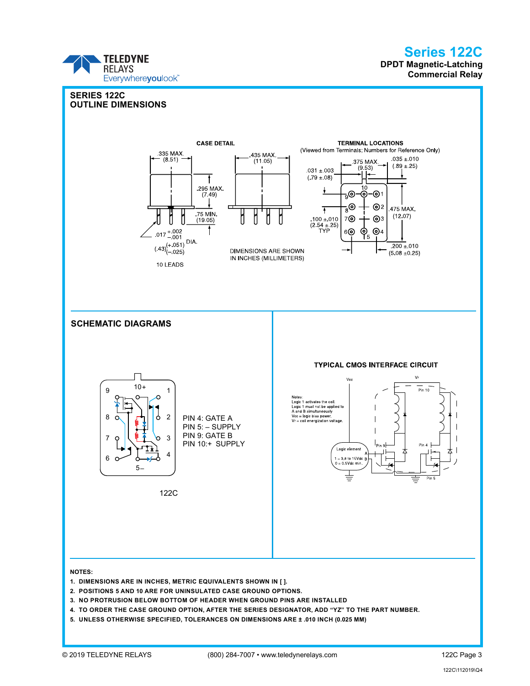### Series 122C DPDT Magnetic-Latching Commercial Relay



- 4. TO ORDER THE CASE GROUND OPTION, AFTER THE SERIES DESIGNATOR, ADD "YZ" TO THE PART NUMBER.
- 5. UNLESS OTHERWISE SPECIFIED, TOLERANCES ON DIMENSIONS ARE ± .010 INCH (0.025 MM)

**TELEDYNE RELAYS** 

Everywhereyoulook<sup>\*\*</sup>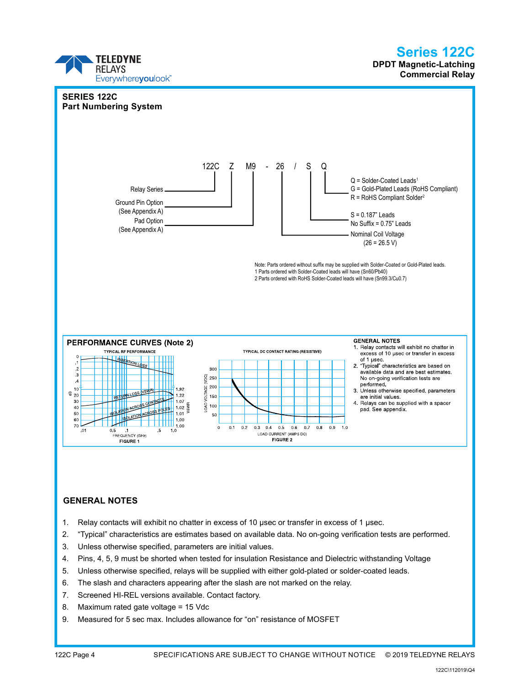

#### GENERAL NOTES

- 1. Relay contacts will exhibit no chatter in excess of 10 µsec or transfer in excess of 1 µsec.
- 2. "Typical" characteristics are estimates based on available data. No on-going verification tests are performed.
- 3. Unless otherwise specified, parameters are initial values.
- 4. Pins, 4, 5, 9 must be shorted when tested for insulation Resistance and Dielectric withstanding Voltage
- 5. Unless otherwise specified, relays will be supplied with either gold-plated or solder-coated leads.
- 6. The slash and characters appearing after the slash are not marked on the relay.
- 7. Screened HI-REL versions available. Contact factory.
- 8. Maximum rated gate voltage = 15 Vdc
- 9. Measured for 5 sec max. Includes allowance for "on" resistance of MOSFET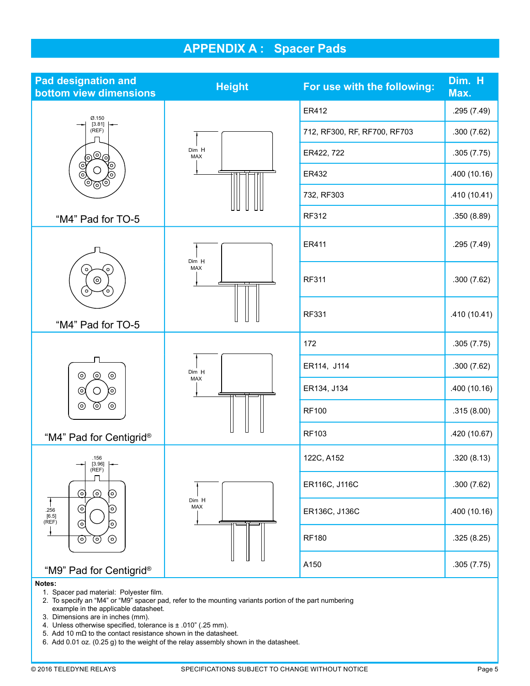# APPENDIX A : Spacer Pads

| <b>Pad designation and</b><br>bottom view dimensions  | <b>Height</b> | For use with the following:  | Dim. H<br>Max. |
|-------------------------------------------------------|---------------|------------------------------|----------------|
| Ø.150                                                 |               | ER412                        | .295 (7.49)    |
| [3.81]<br>(REF)                                       |               | 712, RF300, RF, RF700, RF703 | .300(7.62)     |
| මලු                                                   | Dim H<br>MAX  | ER422, 722                   | .305(7.75)     |
| ঔ<br>0)<br>രി<br>(၀)<br>මලම                           |               | ER432                        | .400(10.16)    |
|                                                       |               | 732, RF303                   | .410(10.41)    |
| "M4" Pad for TO-5                                     |               | RF312                        | .350 (8.89)    |
| $\circ$<br>$\circ$<br>⊚<br>$\circ$<br>o,              | Dim H         | ER411                        | .295 (7.49)    |
|                                                       | MAX           | <b>RF311</b>                 | .300(7.62)     |
| "M4" Pad for TO-5                                     |               | RF331                        | .410(10.41)    |
|                                                       |               | 172                          | .305(7.75)     |
| $\odot$                                               | Dim H         | ER114, J114                  | .300(7.62)     |
| $\odot$<br>$_{\odot}$<br>$\bigcirc$<br>$\odot$<br>(၀) | MAX           | ER134, J134                  | .400(10.16)    |
| ⊚<br>$\odot$<br>$_{\odot}$                            |               | <b>RF100</b>                 | .315(8.00)     |
| "M4" Pad for Centigrid®                               |               | RF103                        | .420 (10.67)   |
| .156<br>$[3.96]$<br>(REF)                             |               | 122C, A152                   | .320(8.13)     |
| ⊙<br>⊚<br>⊚                                           |               | ER116C, J116C                | .300(7.62)     |
| C<br>(၀)<br>.256<br>[6.5]<br>(REF)<br>ତ<br>⊚          | Dim H<br>MAX  | ER136C, J136C                | .400(10.16)    |
| $\odot$<br>$_{\odot}$<br>⊚                            |               | <b>RF180</b>                 | .325 (8.25)    |
| "M9" Pad for Centigrid®                               |               | A150                         | .305(7.75)     |

#### Notes:

- 1. Spacer pad material: Polyester film.
- 2. To specify an "M4" or "M9" spacer pad, refer to the mounting variants portion of the part numbering example in the applicable datasheet.
- 3. Dimensions are in inches (mm).
- 4. Unless otherwise specified, tolerance is  $\pm$  .010" (.25 mm).
- 5. Add 10 mΩ to the contact resistance shown in the datasheet.
- 6. Add 0.01 oz. (0.25 g) to the weight of the relay assembly shown in the datasheet.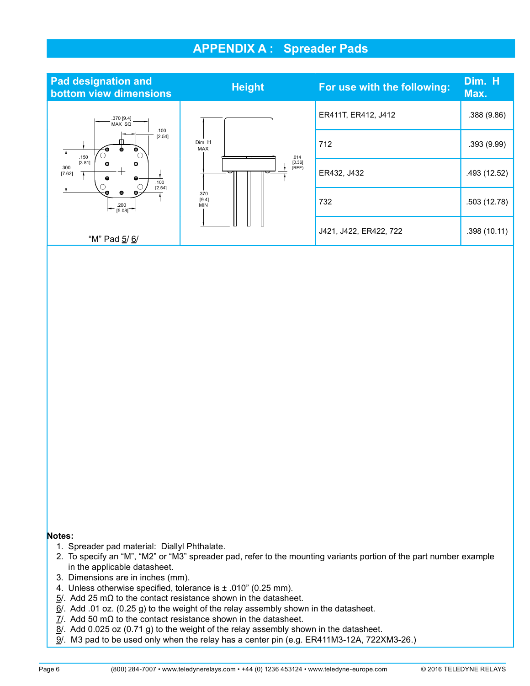# APPENDIX A : Spreader Pads

| <b>Pad designation and</b><br>bottom view dimensions                   | <b>Height</b>               | For use with the following: | Dim. H<br>Max. |
|------------------------------------------------------------------------|-----------------------------|-----------------------------|----------------|
| .370 [9.4]<br>MAX SQ                                                   |                             | ER411T, ER412, J412         | .388(9.86)     |
| .100<br>[2.54]<br>.150                                                 | Dim H<br><b>MAX</b><br>.014 | 712                         | .393(9.99)     |
| [3.81]<br>$\bullet$<br>⊕<br>.300<br>[7.62]<br>⊕<br>⊕<br>.100<br>[2.54] | [0.36]<br>(REF)             | ER432, J432                 | .493 (12.52)   |
| $\left  - \frac{.200}{[5.08]} \right $                                 | .370<br>[9.4]<br><b>MIN</b> | 732                         | .503 (12.78)   |
| "M" Pad 5/6/                                                           |                             | J421, J422, ER422, 722      | .398(10.11)    |

#### Notes:

- 1. Spreader pad material: Diallyl Phthalate.
- 2. To specify an "M", "M2" or "M3" spreader pad, refer to the mounting variants portion of the part number example in the applicable datasheet.
- 3. Dimensions are in inches (mm).
- 4. Unless otherwise specified, tolerance is  $\pm$  .010" (0.25 mm).
- $5/$ . Add 25 mΩ to the contact resistance shown in the datasheet.
- $6/$ . Add .01 oz. (0.25 g) to the weight of the relay assembly shown in the datasheet.
- $\underline{7}$ . Add 50 m $\Omega$  to the contact resistance shown in the datasheet.
- $8/$ . Add 0.025 oz (0.71 g) to the weight of the relay assembly shown in the datasheet.
- 9/. M3 pad to be used only when the relay has a center pin (e.g. ER411M3-12A, 722XM3-26.)